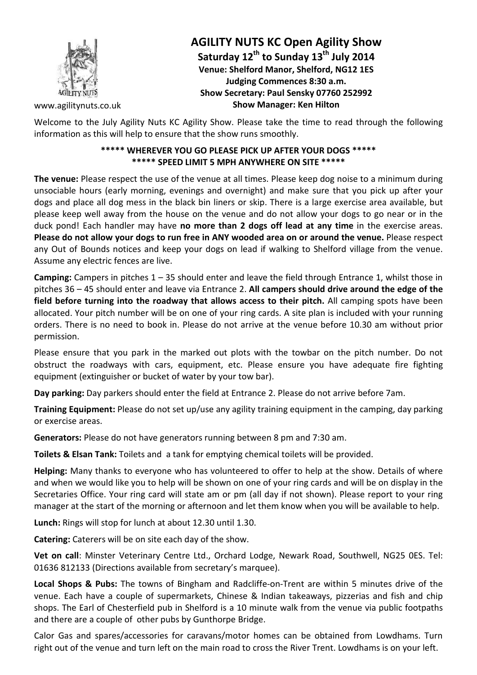

# **AGILITY NUTS KC Open Agility Show Saturday 12th to Sunday 13th July 2014 Venue: Shelford Manor, Shelford, NG12 1ES Judging Commences 8:30 a.m. Show Secretary: Paul Sensky 07760 252992 Show Manager: Ken Hilton**

www.agilitynuts.co.uk

Welcome to the July Agility Nuts KC Agility Show. Please take the time to read through the following information as this will help to ensure that the show runs smoothly.

#### **\*\*\*\*\* WHEREVER YOU GO PLEASE PICK UP AFTER YOUR DOGS \*\*\*\*\* \*\*\*\*\* SPEED LIMIT 5 MPH ANYWHERE ON SITE \*\*\*\*\***

**The venue:** Please respect the use of the venue at all times. Please keep dog noise to a minimum during unsociable hours (early morning, evenings and overnight) and make sure that you pick up after your dogs and place all dog mess in the black bin liners or skip. There is a large exercise area available, but please keep well away from the house on the venue and do not allow your dogs to go near or in the duck pond! Each handler may have **no more than 2 dogs off lead at any time** in the exercise areas. **Please do not allow your dogs to run free in ANY wooded area on or around the venue.** Please respect any Out of Bounds notices and keep your dogs on lead if walking to Shelford village from the venue. Assume any electric fences are live.

**Camping:** Campers in pitches 1 – 35 should enter and leave the field through Entrance 1, whilst those in pitches 36 – 45 should enter and leave via Entrance 2. **All campers should drive around the edge of the field before turning into the roadway that allows access to their pitch.** All camping spots have been allocated. Your pitch number will be on one of your ring cards. A site plan is included with your running orders. There is no need to book in. Please do not arrive at the venue before 10.30 am without prior permission.

Please ensure that you park in the marked out plots with the towbar on the pitch number. Do not obstruct the roadways with cars, equipment, etc. Please ensure you have adequate fire fighting equipment (extinguisher or bucket of water by your tow bar).

**Day parking:** Day parkers should enter the field at Entrance 2. Please do not arrive before 7am.

**Training Equipment:** Please do not set up/use any agility training equipment in the camping, day parking or exercise areas.

**Generators:** Please do not have generators running between 8 pm and 7:30 am.

**Toilets & Elsan Tank:** Toilets and a tank for emptying chemical toilets will be provided.

**Helping:** Many thanks to everyone who has volunteered to offer to help at the show. Details of where and when we would like you to help will be shown on one of your ring cards and will be on display in the Secretaries Office. Your ring card will state am or pm (all day if not shown). Please report to your ring manager at the start of the morning or afternoon and let them know when you will be available to help.

**Lunch:** Rings will stop for lunch at about 12.30 until 1.30.

**Catering:** Caterers will be on site each day of the show.

**Vet on call**: Minster Veterinary Centre Ltd., Orchard Lodge, Newark Road, Southwell, NG25 0ES. Tel: 01636 812133 (Directions available from secretary's marquee).

**Local Shops & Pubs:** The towns of Bingham and Radcliffe-on-Trent are within 5 minutes drive of the venue. Each have a couple of supermarkets, Chinese & Indian takeaways, pizzerias and fish and chip shops. The Earl of Chesterfield pub in Shelford is a 10 minute walk from the venue via public footpaths and there are a couple of other pubs by Gunthorpe Bridge.

Calor Gas and spares/accessories for caravans/motor homes can be obtained from Lowdhams. Turn right out of the venue and turn left on the main road to cross the River Trent. Lowdhams is on your left.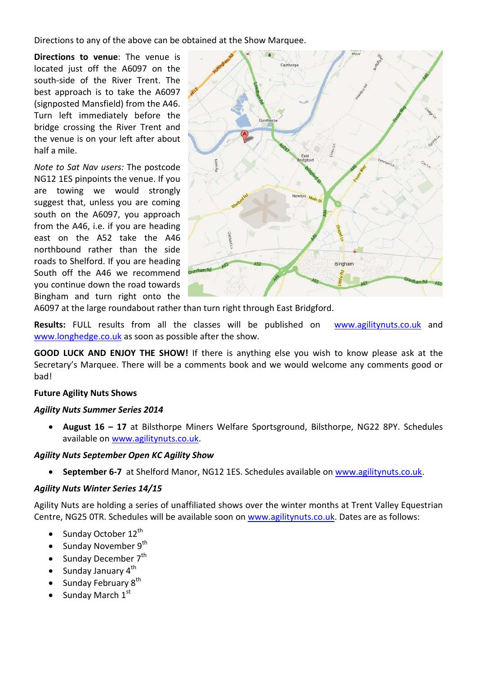Directions to any of the above can be obtained at the Show Marquee.

**Directions to venue**: The venue is located just off the A6097 on the south-side of the River Trent. The best approach is to take the A6097 (signposted Mansfield) from the A46. Turn left immediately before the bridge crossing the River Trent and the venue is on your left after about half a mile.

*Note to Sat Nav users:* The postcode NG12 1ES pinpoints the venue. If you are towing we would strongly suggest that, unless you are coming south on the A6097, you approach from the A46, i.e. if you are heading east on the A52 take the A46 northbound rather than the side roads to Shelford. If you are heading South off the A46 we recommend you continue down the road towards Bingham and turn right onto the



A6097 at the large roundabout rather than turn right through East Bridgford.

**Results:** FULL results from all the classes will be published on www.agilitynuts.co.uk and www.longhedge.co.uk as soon as possible after the show.

**GOOD LUCK AND ENJOY THE SHOW!** If there is anything else you wish to know please ask at the Secretary's Marquee. There will be a comments book and we would welcome any comments good or bad!

# **Future Agility Nuts Shows**

#### *Agility Nuts Summer Series 2014*

• **August 16 – 17** at Bilsthorpe Miners Welfare Sportsground, Bilsthorpe, NG22 8PY. Schedules available on www.agilitynuts.co.uk.

# *Agility Nuts September Open KC Agility Show*

September 6-7 at Shelford Manor, NG12 1ES. Schedules available on www.agilitynuts.co.uk.

# *Agility Nuts Winter Series 14/15*

Agility Nuts are holding a series of unaffiliated shows over the winter months at Trent Valley Equestrian Centre, NG25 0TR. Schedules will be available soon on www.agilitynuts.co.uk. Dates are as follows:

- Sunday October  $12^{th}$
- Sunday November  $9<sup>th</sup>$
- Sunday December  $7<sup>th</sup>$
- Sunday January  $4^{th}$
- Sunday February  $8<sup>th</sup>$
- Sunday March  $1<sup>st</sup>$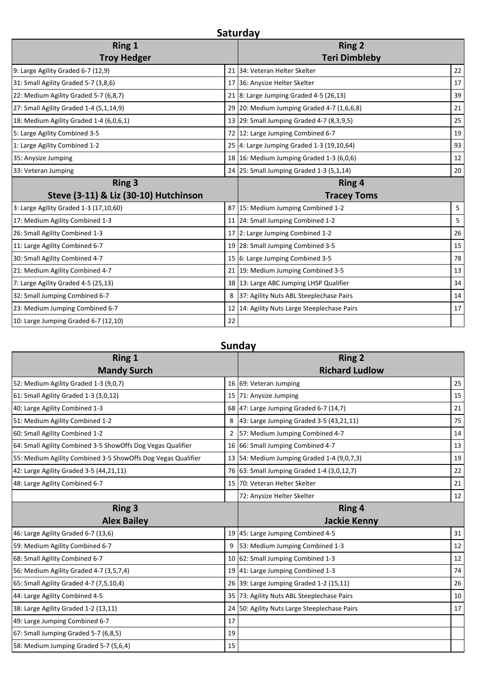| Saturday                            |                    |                                                                                                                                                                                                                                                                                                                                                                                                                                                                                                                                                                                                                                                                                                                                                                    |  |  |  |
|-------------------------------------|--------------------|--------------------------------------------------------------------------------------------------------------------------------------------------------------------------------------------------------------------------------------------------------------------------------------------------------------------------------------------------------------------------------------------------------------------------------------------------------------------------------------------------------------------------------------------------------------------------------------------------------------------------------------------------------------------------------------------------------------------------------------------------------------------|--|--|--|
| <b>Ring 1</b><br><b>Troy Hedger</b> |                    | <b>Ring 2</b><br><b>Teri Dimbleby</b>                                                                                                                                                                                                                                                                                                                                                                                                                                                                                                                                                                                                                                                                                                                              |  |  |  |
|                                     |                    | 22                                                                                                                                                                                                                                                                                                                                                                                                                                                                                                                                                                                                                                                                                                                                                                 |  |  |  |
|                                     |                    | 17                                                                                                                                                                                                                                                                                                                                                                                                                                                                                                                                                                                                                                                                                                                                                                 |  |  |  |
|                                     |                    | 39                                                                                                                                                                                                                                                                                                                                                                                                                                                                                                                                                                                                                                                                                                                                                                 |  |  |  |
|                                     |                    | 21                                                                                                                                                                                                                                                                                                                                                                                                                                                                                                                                                                                                                                                                                                                                                                 |  |  |  |
|                                     |                    | 25                                                                                                                                                                                                                                                                                                                                                                                                                                                                                                                                                                                                                                                                                                                                                                 |  |  |  |
|                                     |                    | 19                                                                                                                                                                                                                                                                                                                                                                                                                                                                                                                                                                                                                                                                                                                                                                 |  |  |  |
|                                     |                    | 93                                                                                                                                                                                                                                                                                                                                                                                                                                                                                                                                                                                                                                                                                                                                                                 |  |  |  |
|                                     |                    | 12                                                                                                                                                                                                                                                                                                                                                                                                                                                                                                                                                                                                                                                                                                                                                                 |  |  |  |
|                                     |                    | 20                                                                                                                                                                                                                                                                                                                                                                                                                                                                                                                                                                                                                                                                                                                                                                 |  |  |  |
|                                     | <b>Tracey Toms</b> |                                                                                                                                                                                                                                                                                                                                                                                                                                                                                                                                                                                                                                                                                                                                                                    |  |  |  |
|                                     |                    | 5                                                                                                                                                                                                                                                                                                                                                                                                                                                                                                                                                                                                                                                                                                                                                                  |  |  |  |
|                                     |                    | 5                                                                                                                                                                                                                                                                                                                                                                                                                                                                                                                                                                                                                                                                                                                                                                  |  |  |  |
|                                     |                    | 26                                                                                                                                                                                                                                                                                                                                                                                                                                                                                                                                                                                                                                                                                                                                                                 |  |  |  |
|                                     |                    | 15                                                                                                                                                                                                                                                                                                                                                                                                                                                                                                                                                                                                                                                                                                                                                                 |  |  |  |
|                                     |                    | 78                                                                                                                                                                                                                                                                                                                                                                                                                                                                                                                                                                                                                                                                                                                                                                 |  |  |  |
|                                     |                    | 13                                                                                                                                                                                                                                                                                                                                                                                                                                                                                                                                                                                                                                                                                                                                                                 |  |  |  |
|                                     |                    | 34                                                                                                                                                                                                                                                                                                                                                                                                                                                                                                                                                                                                                                                                                                                                                                 |  |  |  |
| 8                                   |                    | 14                                                                                                                                                                                                                                                                                                                                                                                                                                                                                                                                                                                                                                                                                                                                                                 |  |  |  |
|                                     |                    | 17                                                                                                                                                                                                                                                                                                                                                                                                                                                                                                                                                                                                                                                                                                                                                                 |  |  |  |
| 22                                  |                    |                                                                                                                                                                                                                                                                                                                                                                                                                                                                                                                                                                                                                                                                                                                                                                    |  |  |  |
|                                     |                    | 21 34: Veteran Helter Skelter<br>17 36: Anysize Helter Skelter<br>21 8: Large Jumping Graded 4-5 (26,13)<br>29 20: Medium Jumping Graded 4-7 (1,6,6,8)<br>13 29: Small Jumping Graded 4-7 (8,3,9,5)<br>72 12: Large Jumping Combined 6-7<br>25 4: Large Jumping Graded 1-3 (19,10,64)<br>18 16: Medium Jumping Graded 1-3 (6,0,6)<br>24 25: Small Jumping Graded 1-3 (5,1,14)<br><b>Ring 4</b><br>87 15: Medium Jumping Combined 1-2<br>11 24: Small Jumping Combined 1-2<br>17 2: Large Jumping Combined 1-2<br>19 28: Small Jumping Combined 3-5<br>15 6: Large Jumping Combined 3-5<br>21 19: Medium Jumping Combined 3-5<br>38 13: Large ABC Jumping LHSP Qualifier<br>37: Agility Nuts ABL Steeplechase Pairs<br>12 14: Agility Nuts Large Steeplechase Pairs |  |  |  |

# **Sunday**

 $\overline{\phantom{a}}$ 

| <b>Ring 1</b>                                                |    | <b>Ring 2</b>                                |    |
|--------------------------------------------------------------|----|----------------------------------------------|----|
| <b>Mandy Surch</b>                                           |    | <b>Richard Ludlow</b>                        |    |
| 52: Medium Agility Graded 1-3 (9,0,7)                        |    | 16 69: Veteran Jumping                       | 25 |
| 61: Small Agility Graded 1-3 (3,0,12)                        |    | 15 71: Anysize Jumping                       | 15 |
| 40: Large Agility Combined 1-3                               |    | 68 47: Large Jumping Graded 6-7 (14,7)       | 21 |
| 51: Medium Agility Combined 1-2                              | 8  | 43: Large Jumping Graded 3-5 (43,21,11)      | 75 |
| 60: Small Agility Combined 1-2                               | 2  | 57: Medium Jumping Combined 4-7              | 14 |
| 64: Small Agility Combined 3-5 ShowOffs Dog Vegas Qualifier  |    | 16 66: Small Jumping Combined 4-7            | 13 |
| 55: Medium Agility Combined 3-5 ShowOffs Dog Vegas Qualifier |    | 13 54: Medium Jumping Graded 1-4 (9,0,7,3)   | 19 |
| 42: Large Agility Graded 3-5 (44,21,11)                      |    | 76 63: Small Jumping Graded 1-4 (3,0,12,7)   | 22 |
| 48: Large Agility Combined 6-7                               |    | 15 70: Veteran Helter Skelter                | 21 |
|                                                              |    | 72: Anysize Helter Skelter                   | 12 |
| <b>Ring 3</b>                                                |    | Ring 4                                       |    |
| <b>Alex Bailey</b>                                           |    | <b>Jackie Kenny</b>                          |    |
| 46: Large Agility Graded 6-7 (13,6)                          |    | 19 45: Large Jumping Combined 4-5            | 31 |
| 59: Medium Agility Combined 6-7                              | 9  | 53: Medium Jumping Combined 1-3              | 12 |
| 68: Small Agility Combined 6-7                               |    | 10 62: Small Jumping Combined 1-3            | 12 |
| 56: Medium Agility Graded 4-7 (3,5,7,4)                      |    | 19 41: Large Jumping Combined 1-3            | 74 |
| 65: Small Agility Graded 4-7 (7,5,10,4)                      |    | 26 39: Large Jumping Graded 1-2 (15,11)      | 26 |
| 44: Large Agility Combined 4-5                               |    | 35 73: Agility Nuts ABL Steeplechase Pairs   | 10 |
| 38: Large Agility Graded 1-2 (13,11)                         |    | 24 50: Agility Nuts Large Steeplechase Pairs | 17 |
| 49: Large Jumping Combined 6-7                               | 17 |                                              |    |
| 67: Small Jumping Graded 5-7 (6,8,5)                         | 19 |                                              |    |
| 58: Medium Jumping Graded 5-7 (5,6,4)                        |    |                                              |    |